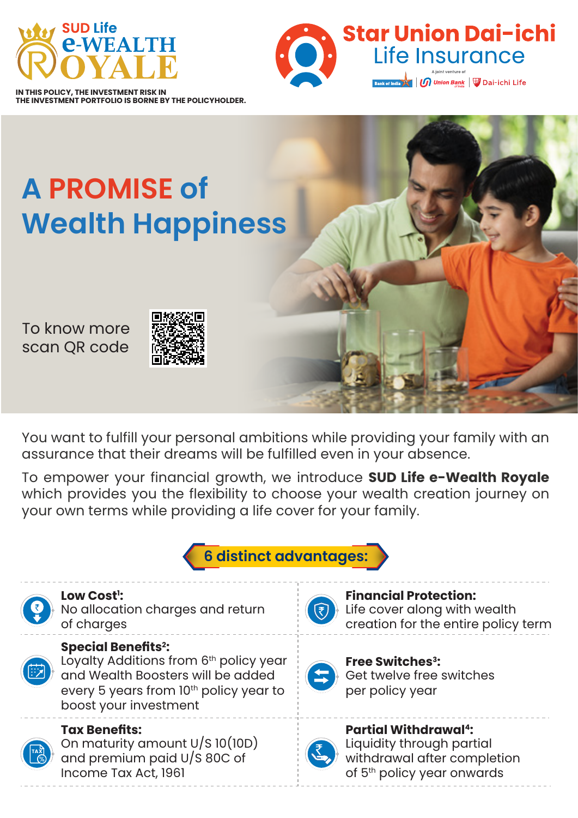



**IN THIS POLICY, THE INVESTMENT RISK IN THE INVESTMENT PORTFOLIO IS BORNE BY THE POLICYHOLDER.**

# **A PROMISE of Wealth Happiness**

To know more scan QR code



You want to fulfill your personal ambitions while providing your family with an assurance that their dreams will be fulfilled even in your absence.

To empower your financial growth, we introduce **SUD Life e-Wealth Royale** which provides you the flexibility to choose your wealth creation journey on your own terms while providing a life cover for your family.





## **Low Cost1 :**

No allocation charges and return of charges



## **Special Benefits2 :**

Loyalty Additions from 6<sup>th</sup> policy year and Wealth Boosters will be added every 5 years from 10th policy year to boost your investment



#### **Tax Benefits:**

On maturity amount U/S 10(10D) and premium paid U/S 80C of Income Tax Act, 1961



#### **Financial Protection:** Life cover along with wealth creation for the entire policy term

**Free Switches3:** Get twelve free switches per policy year



**Partial Withdrawal4:** Liquidity through partial withdrawal after completion of 5<sup>th</sup> policy year onwards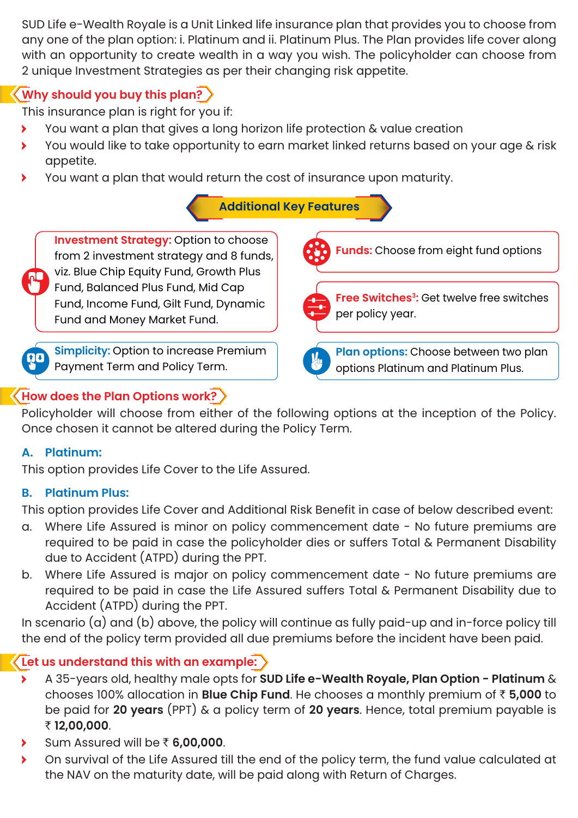SUD Life e-Wealth Royale is a Unit Linked life insurance plan that provides you to choose from any one of the plan option: i. Platinum and ii. Platinum Plus. The Plan provides life cover along with an opportunity to create wealth in a way you wish. The policyholder can choose from 2 unique Investment Strategies as per their changing risk appetite.

# **Why should you buy this plan?**

This insurance plan is right for you if:

- You want a plan that gives a long horizon life protection & value creation Š
- You would like to take opportunity to earn market linked returns based on your age & risk appetite.
- You want a plan that would return the cost of insurance upon maturity.

## **Additional Key Features**

**Investment Strategy:** Option to choose from 2 investment strategy and 8 funds, viz. Blue Chip Equity Fund, Growth Plus Fund, Balanced Plus Fund, Mid Cap Fund, Income Fund, Gilt Fund, Dynamic Fund and Money Market Fund.



**Simplicity:** Option to increase Premium Payment Term and Policy Term.

#### **How does the Plan Options work?**

Policyholder will choose from either of the following options at the inception of the Policy. Once chosen it cannot be altered during the Policy Term.

#### **A. Platinum:**

This option provides Life Cover to the Life Assured.

#### **B. Platinum Plus:**

This option provides Life Cover and Additional Risk Benefit in case of below described event:

- a. Where Life Assured is minor on policy commencement date No future premiums are required to be paid in case the policyholder dies or suffers Total & Permanent Disability due to Accident (ATPD) during the PPT.
- b. Where Life Assured is major on policy commencement date No future premiums are required to be paid in case the Life Assured suffers Total & Permanent Disability due to Accident (ATPD) during the PPT.

In scenario (a) and (b) above, the policy will continue as fully paid-up and in-force policy till the end of the policy term provided all due premiums before the incident have been paid.

## **Let us understand this with an example:**

- A 35-years old, healthy male opts for **SUD Life e-Wealth Royale, Plan Option Platinum** & chooses 100% allocation in **Blue Chip Fund**. He chooses a monthly premium of ` **5,000** to be paid for **20 years** (PPT) & a policy term of **20 years**. Hence, total premium payable is ` **12,00,000**.
- **▶ Sum Assured will be ₹ 6,00,000.**
- On survival of the Life Assured till the end of the policy term, the fund value calculated at the NAV on the maturity date, will be paid along with Return of Charges.





**Plan options:** Choose between two plan options Platinum and Platinum Plus.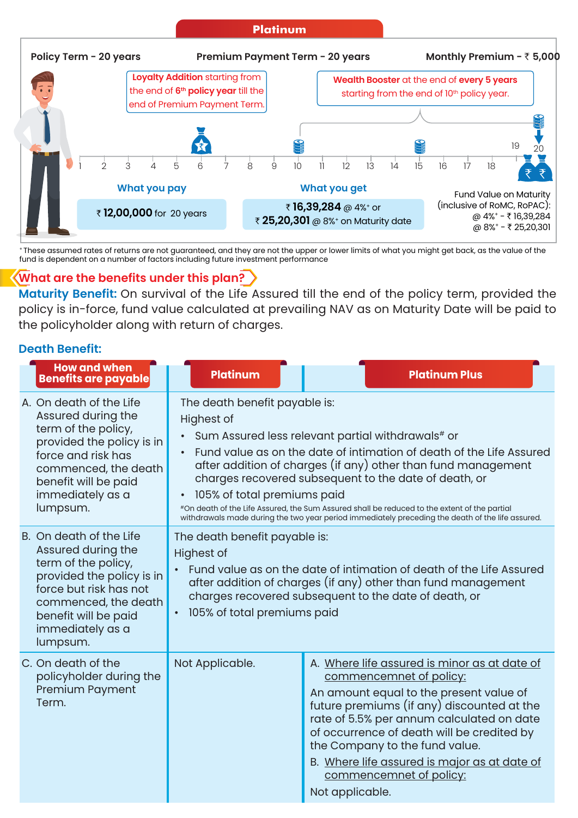

+ These assumed rates of returns are not guaranteed, and they are not the upper or lower limits of what you might get back, as the value of the fund is dependent on a number of factors including future investment performance

#### **What are the benefits under this plan?**

**Maturity Benefit:** On survival of the Life Assured till the end of the policy term, provided the policy is in-force, fund value calculated at prevailing NAV as on Maturity Date will be paid to the policyholder along with return of charges.

#### **Death Benefit:**

| <b>How and when</b><br><b>Benefits are payable</b>                                                                                                                                                          | <b>Platinum</b>                                                                                                                                                                                                                                                                                                                                                                                                                                                                                                                       | <b>Platinum Plus</b>                                                                                                                                                                                                                                                                                                                                                                        |  |  |  |
|-------------------------------------------------------------------------------------------------------------------------------------------------------------------------------------------------------------|---------------------------------------------------------------------------------------------------------------------------------------------------------------------------------------------------------------------------------------------------------------------------------------------------------------------------------------------------------------------------------------------------------------------------------------------------------------------------------------------------------------------------------------|---------------------------------------------------------------------------------------------------------------------------------------------------------------------------------------------------------------------------------------------------------------------------------------------------------------------------------------------------------------------------------------------|--|--|--|
| A. On death of the Life<br>Assured during the<br>term of the policy,<br>provided the policy is in<br>force and risk has<br>commenced, the death<br>benefit will be paid<br>immediately as a<br>lumpsum.     | The death benefit payable is:<br>Highest of<br>Sum Assured less relevant partial withdrawals# or<br>Fund value as on the date of intimation of death of the Life Assured<br>after addition of charges (if any) other than fund management<br>charges recovered subsequent to the date of death, or<br>105% of total premiums paid<br>#On death of the Life Assured, the Sum Assured shall be reduced to the extent of the partial<br>withdrawals made during the two year period immediately preceding the death of the life assured. |                                                                                                                                                                                                                                                                                                                                                                                             |  |  |  |
| B. On death of the Life<br>Assured during the<br>term of the policy,<br>provided the policy is in<br>force but risk has not<br>commenced, the death<br>benefit will be paid<br>immediately as a<br>lumpsum. | The death benefit payable is:<br><b>Highest of</b><br>Fund value as on the date of intimation of death of the Life Assured<br>after addition of charges (if any) other than fund management<br>charges recovered subsequent to the date of death, or<br>105% of total premiums paid<br>$\bullet$                                                                                                                                                                                                                                      |                                                                                                                                                                                                                                                                                                                                                                                             |  |  |  |
| C. On death of the<br>policyholder during the<br>Premium Payment<br>Term.                                                                                                                                   | Not Applicable.                                                                                                                                                                                                                                                                                                                                                                                                                                                                                                                       | A. Where life assured is minor as at date of<br>commencemnet of policy:<br>An amount equal to the present value of<br>future premiums (if any) discounted at the<br>rate of 5.5% per annum calculated on date<br>of occurrence of death will be credited by<br>the Company to the fund value.<br>B. Where life assured is major as at date of<br>commencemnet of policy:<br>Not applicable. |  |  |  |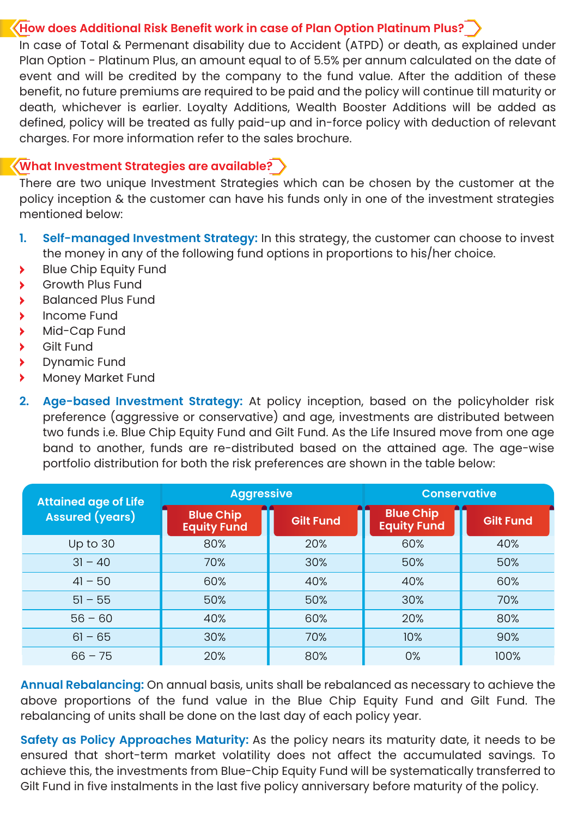#### **How does Additional Risk Benefit work in case of Plan Option Platinum Plus?**

In case of Total & Permenant disability due to Accident (ATPD) or death, as explained under Plan Option - Platinum Plus, an amount equal to of 5.5% per annum calculated on the date of event and will be credited by the company to the fund value. After the addition of these benefit, no future premiums are required to be paid and the policy will continue till maturity or death, whichever is earlier. Loyalty Additions, Wealth Booster Additions will be added as defined, policy will be treated as fully paid-up and in-force policy with deduction of relevant charges. For more information refer to the sales brochure.

#### **What Investment Strategies are available?**

There are two unique Investment Strategies which can be chosen by the customer at the policy inception & the customer can have his funds only in one of the investment strategies mentioned below:

- **1. Self-managed Investment Strategy:** In this strategy, the customer can choose to invest the money in any of the following fund options in proportions to his/her choice.
- **Blue Chip Equity Fund**
- Growth Plus Fund
- **Balanced Plus Fund**
- **Income Fund**
- Mid-Cap Fund
- Gilt Fund
- > Dynamic Fund<br>> Monev Market
- Money Market Fund
- **2. Age-based Investment Strategy:** At policy inception, based on the policyholder risk preference (aggressive or conservative) and age, investments are distributed between two funds i.e. Blue Chip Equity Fund and Gilt Fund. As the Life Insured move from one age band to another, funds are re-distributed based on the attained age. The age-wise portfolio distribution for both the risk preferences are shown in the table below:

| <b>Attained age of Life</b><br><b>Assured (years)</b> | <b>Aggressive</b>                      |                  | <b>Conservative</b>                    |                  |
|-------------------------------------------------------|----------------------------------------|------------------|----------------------------------------|------------------|
|                                                       | <b>Blue Chip</b><br><b>Equity Fund</b> | <b>Gilt Fund</b> | <b>Blue Chip</b><br><b>Equity Fund</b> | <b>Gilt Fund</b> |
| Up to 30                                              | 80%                                    | 20%              | 60%                                    | 40%              |
| $31 - 40$                                             | 70%                                    | 30%              | 50%                                    | 50%              |
| $41 - 50$                                             | 60%                                    | 40%              | 40%                                    | 60%              |
| $51 - 55$                                             | 50%                                    | 50%              | 30%                                    | 70%              |
| $56 - 60$                                             | 40%                                    | 60%              | 20%                                    | 80%              |
| $61 - 65$                                             | 30%                                    | 70%              | 10%                                    | 90%              |
| $66 - 75$                                             | 20%                                    | 80%              | 0%                                     | 100%             |

**Annual Rebalancing:** On annual basis, units shall be rebalanced as necessary to achieve the above proportions of the fund value in the Blue Chip Equity Fund and Gilt Fund. The rebalancing of units shall be done on the last day of each policy year.

**Safety as Policy Approaches Maturity:** As the policy nears its maturity date, it needs to be ensured that short-term market volatility does not affect the accumulated savings. To achieve this, the investments from Blue-Chip Equity Fund will be systematically transferred to Gilt Fund in five instalments in the last five policy anniversary before maturity of the policy.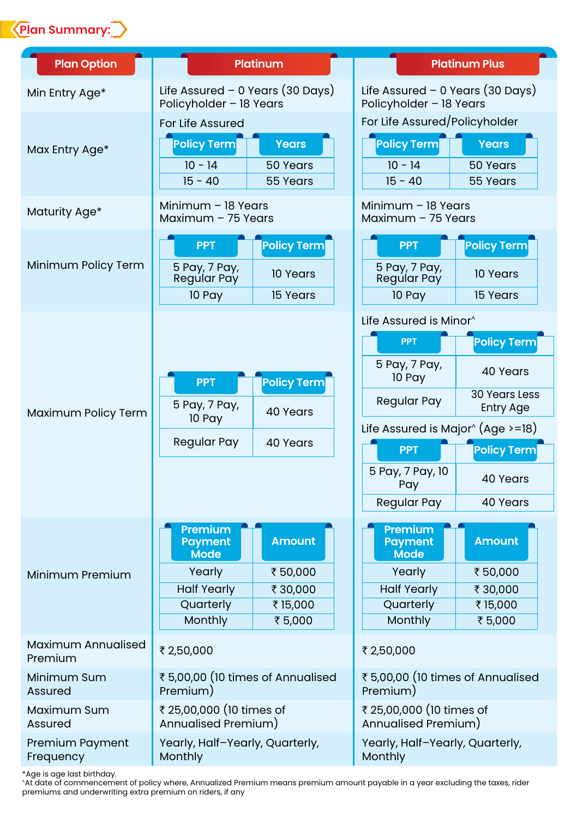

| <b>Plan Option</b>            | <b>Platinum</b>                                                                                  |                                                          | <b>Platinum Plus</b>                                                                                                                                                                 |                                                                                                                          |
|-------------------------------|--------------------------------------------------------------------------------------------------|----------------------------------------------------------|--------------------------------------------------------------------------------------------------------------------------------------------------------------------------------------|--------------------------------------------------------------------------------------------------------------------------|
| Min Entry Age*                | Life Assured $-$ 0 Years (30 Days)<br>Policyholder - 18 Years                                    |                                                          | Life Assured – 0 Years (30 Days)<br>Policyholder - 18 Years                                                                                                                          |                                                                                                                          |
| Max Entry Age*                | For Life Assured<br>Policy Term<br>$10 - 14$<br>$15 - 40$                                        | <b>Years</b><br>50 Years<br>55 Years                     | For Life Assured/Policyholder<br><b>Policy Term</b><br>$10 - 14$<br>$15 - 40$                                                                                                        | <b>Years</b><br>50 Years<br>55 Years                                                                                     |
| Maturity Age*                 | Minimum - 18 Years<br>Maximum $-75$ Years                                                        |                                                          | Minimum - 18 Years<br>Maximum - 75 Years                                                                                                                                             |                                                                                                                          |
| Minimum Policy Term           | <b>PPT</b><br>5 Pay, 7 Pay,<br>Regúlar Pay<br>10 Pay                                             | <b>Policy Term</b><br>10 Years<br>15 Years               | <b>PPT</b><br>5 Pay, 7 Pay,<br>Regular Pay<br>10 Pay                                                                                                                                 | <b>Policy Term</b><br>10 Years<br>15 Years                                                                               |
| Maximum Policy Term           | <b>PPT</b><br>5 Pay, 7 Pay,<br>10 Pay<br>Regular Pay                                             | <b>Policy Term</b><br>40 Years<br>40 Years               | Life Assured is Minor^<br><b>PPT</b><br>5 Pay, 7 Pay,<br>10 Pay<br>Regular Pay<br>Life Assured is Major $\hat{ }$ (Age >=18)<br><b>PPT</b><br>5 Pay, 7 Pay, 10<br>Pay<br>Regular Pay | <b>Policy Term</b><br>40 Years<br><b>30 Years Less</b><br><b>Entry Age</b><br><b>Policy Term</b><br>40 Years<br>40 Years |
| Minimum Premium               | Premium<br><b>Payment</b><br><b>Mode</b><br>Yearly<br><b>Half Yearly</b><br>Quarterly<br>Monthly | <b>Amount</b><br>₹50,000<br>₹30,000<br>₹15,000<br>₹5,000 | Premium<br><b>Payment</b><br>Mode<br>Yearly<br><b>Half Yearly</b><br>Quarterly<br>Monthly                                                                                            | <b>Amount</b><br>₹50,000<br>₹30,000<br>₹15,000<br>₹5,000                                                                 |
| Maximum Annualised<br>Premium | ₹ 2,50,000                                                                                       |                                                          | ₹ 2,50,000                                                                                                                                                                           |                                                                                                                          |
| Minimum Sum<br>Assured        | ₹ 5,00,00 (10 times of Annualised<br>Premium)                                                    |                                                          | ₹ 5,00,00 (10 times of Annualised<br>Premium)                                                                                                                                        |                                                                                                                          |
| Maximum Sum<br>Assured        | ₹ 25,00,000 (10 times of<br>Annualised Premium)                                                  |                                                          | ₹ 25,00,000 (10 times of<br>Annualised Premium)                                                                                                                                      |                                                                                                                          |
| Premium Payment<br>Frequency  | Yearly, Half-Yearly, Quarterly,<br>Monthly                                                       |                                                          | Yearly, Half-Yearly, Quarterly,<br>Monthly                                                                                                                                           |                                                                                                                          |

\*Age is age last birthday.<br>^At date of commencement of policy where, Annualized Premium means premium amount payable in a year excluding the taxes, rider<br>premiums and underwriting extra premium on riders, if any